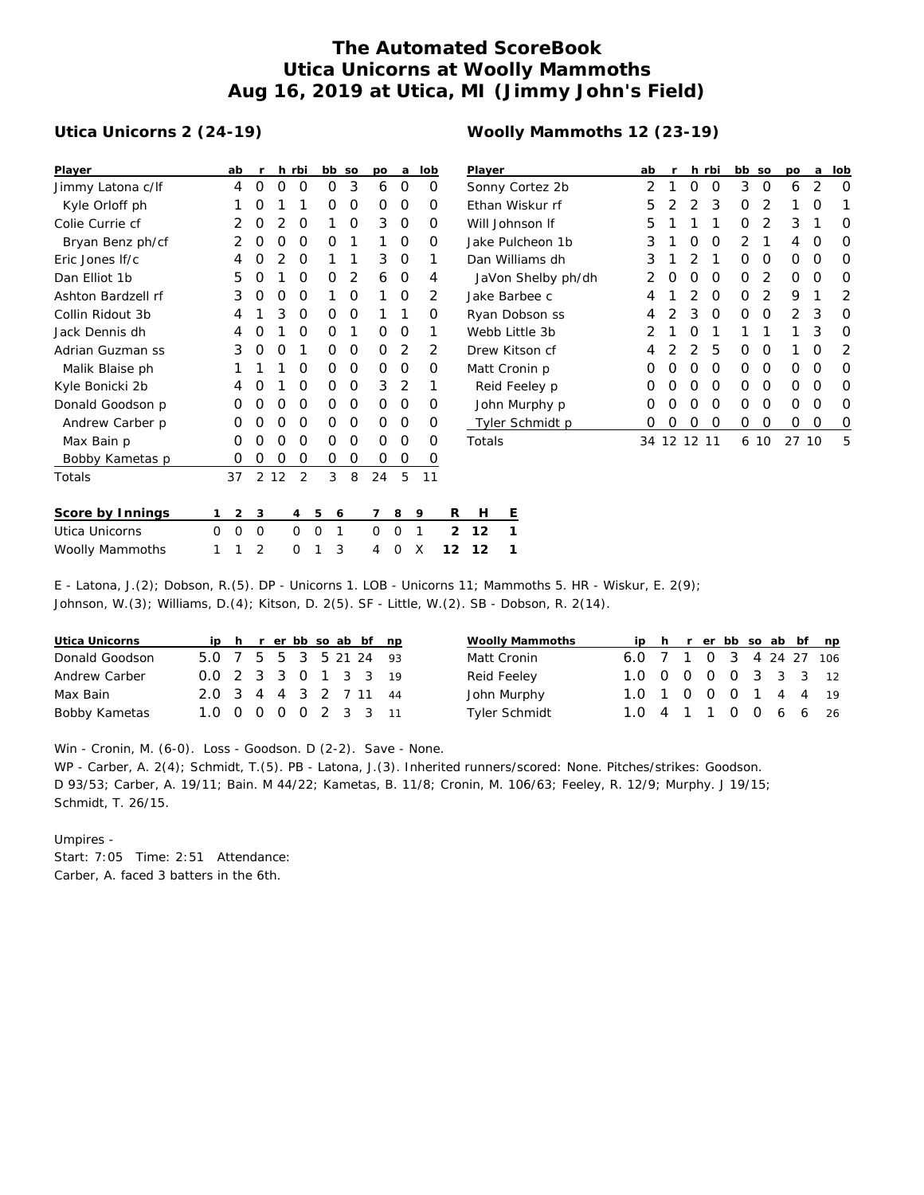## **The Automated ScoreBook Utica Unicorns at Woolly Mammoths Aug 16, 2019 at Utica, MI (Jimmy John's Field)**

## **Utica Unicorns 2 (24-19)**

| Player             |   | ab | r |    | h rbi          |   | bb | SO | po | a | lob |                | Player               |         |  |
|--------------------|---|----|---|----|----------------|---|----|----|----|---|-----|----------------|----------------------|---------|--|
| Jimmy Latona c/lf  |   | 4  | 0 | O  | O              |   | O  | 3  | 6  | O | O   |                | Sonny C              |         |  |
| Kyle Orloff ph     |   | 1  | Ω | 1  | 1              |   | O  | O  | Ο  | Ο | O   |                | Ethan W              |         |  |
| Colie Currie cf    |   | 2  | Ο | 2  | O              |   | 1  | O  | 3  | 0 | Ο   |                | Will Johr            |         |  |
| Bryan Benz ph/cf   |   | 2  | Ο | O  | O              |   | O  | 1  | 1  | Ο | Ο   |                | Jake Pul             |         |  |
| Eric Jones If/c    |   | 4  | Ω | 2  | O              |   | 1  | 1  | 3  | O | 1   |                | Dan Will             |         |  |
| Dan Elliot 1b      |   | 5  | O | 1  | O              |   | O  | 2  | 6  | O | 4   |                |                      | JaVon:  |  |
| Ashton Bardzell rf |   | 3  | Ω | O  | O              |   | 1  | O  | 1  | Ο | 2   |                | Jake Bar             |         |  |
| Collin Ridout 3b   |   | 4  | 1 | 3  | 0              |   | O  | O  | 1  | 1 | Ο   |                | Ryan Do              |         |  |
| Jack Dennis dh     |   | 4  | O | 1  | O              |   | O  | 1  | Ο  | O | 1   |                | Webb Li <sup>-</sup> |         |  |
| Adrian Guzman ss   |   | 3  | O | O  | 1              |   | O  | O  | Ω  | 2 | 2   |                | Drew Kit             |         |  |
| Malik Blaise ph    |   | 1  | 1 | 1  | O              |   | O  | O  | Ο  | O | Ω   |                | Matt Crc             |         |  |
| Kyle Bonicki 2b    |   | 4  | Ω | 1  | O              |   | O  | O  | 3  | 2 | 1   |                |                      | Reid Fe |  |
| Donald Goodson p   |   | O  | Ο | O  | O              |   | O  | O  | O  | Ο | Ο   |                |                      | John M  |  |
| Andrew Carber p    |   | O  | Ο | 0  | 0              |   | O  | O  | Ο  | O | Ω   |                |                      | Tyler S |  |
| Max Bain p         |   | O  | Ο | O  | O              |   | O  | O  | Ο  | Ο | Ο   |                | Totals               |         |  |
| Bobby Kametas p    |   | O  | Ο | 0  | O              |   | 0  | 0  | Ο  | Ο | O   |                |                      |         |  |
| Totals             |   | 37 | 2 | 12 | $\overline{2}$ |   | 3  | 8  | 24 | 5 | 11  |                |                      |         |  |
| Score by Innings   | 1 | 2  | 3 |    | 4              | 5 | 6  |    | 7  | 8 | 9   | R              | Н                    | Е       |  |
| Utica Unicorns     | 0 | 0  | 0 |    | 0              | 0 | 1  |    | 0  | 0 | 1   | $\mathfrak{D}$ | 12                   | 1       |  |

Woolly Mammoths 1 1 2 0 1 3 4 0 X **12 12 1**

| Player             | ab | r  |                | h rbi | bb | SO             | po | a  | lob           |
|--------------------|----|----|----------------|-------|----|----------------|----|----|---------------|
| Sonny Cortez 2b    | 2  | 1  | Ο              | O     | 3  | O              | 6  | 2  | Ω             |
| Ethan Wiskur rf    | 5  | 2  | $\overline{2}$ | 3     | Ο  | $\overline{2}$ | 1  | Ω  | 1             |
| Will Johnson If    | 5  | 1  | 1              | 1     | Ο  | 2              | 3  | 1  | Ω             |
| Jake Pulcheon 1b   | 3  | 1  | Ω              | O     | 2  | 1              | 4  | Ω  | Ω             |
| Dan Williams dh    | 3  | 1  | $\overline{2}$ | 1     | Ο  | O              | Ο  | Ο  | Ω             |
| JaVon Shelby ph/dh | 2  | O  | Ο              | O     | Ο  | 2              | Ο  | O  | Ω             |
| Jake Barbee c      | 4  | 1  | $\mathcal{P}$  | O     | Ο  | 2              | 9  | 1  | $\mathcal{P}$ |
| Ryan Dobson ss     | 4  | 2  | 3              | O     | Ο  | O              | 2  | 3  | Ω             |
| Webb Little 3b     | 2  | 1  | Ο              | 1     | 1  | 1              | 1  | 3  | Ω             |
| Drew Kitson cf     | 4  | 2  | $\overline{2}$ | 5     | Ο  | O              | 1  | O  | 2             |
| Matt Cronin p      | Ο  | O  | Ο              | O     | Ο  | O              | Ο  | O  | Ω             |
| Reid Feeley p      | O  | O  | Ο              | O     | Ο  | O              | Ο  | O  | Ω             |
| John Murphy p      | Ω  | Ω  | Ω              | O     | Ο  | O              | Ω  | Ω  | ∩             |
| Tyler Schmidt p    | Ω  | Ω  | Ο              | 0     | Ο  | 0              | Ο  | Ο  | O             |
| Totals             | 34 | 12 | 12             | 11    | 6  | 10             | 27 | 10 | 5             |

| E - Latona, J. (2); Dobson, R. (5). DP - Unicorns 1. LOB - Unicorns 11; Mammoths 5. HR - Wiskur, E. 2(9); |  |  |  |  |  |
|-----------------------------------------------------------------------------------------------------------|--|--|--|--|--|
| Johnson, W. (3); Williams, D. (4); Kitson, D. 2(5). SF - Little, W. (2). SB - Dobson, R. 2(14).           |  |  |  |  |  |

| Utica Unicorns |                        |  |  |  | ip h r er bb so ab bf np |  |
|----------------|------------------------|--|--|--|--------------------------|--|
| Donald Goodson | 5.0 7 5 5 3 5 21 24 93 |  |  |  |                          |  |
| Andrew Carber  | 0.0 2 3 3 0 1 3 3 19   |  |  |  |                          |  |
| Max Bain       | 2.0 3 4 4 3 2 7 11 44  |  |  |  |                          |  |
| Bobby Kametas  | 1.0 0 0 0 0 2 3 3 11   |  |  |  |                          |  |

| Woolly Mammoths |                         |  |  |  | ip h r er bb so ab bf np |
|-----------------|-------------------------|--|--|--|--------------------------|
| Matt Cronin     | 6.0 7 1 0 3 4 24 27 106 |  |  |  |                          |
| Reid Feeley     | 1.0 0 0 0 0 3 3 3 12    |  |  |  |                          |
| John Murphy     | 1.0 1 0 0 0 1 4 4 19    |  |  |  |                          |
| Tyler Schmidt   | 1.0 4 1 1 0 0 6 6 26    |  |  |  |                          |

Win - Cronin, M. (6-0). Loss - Goodson. D (2-2). Save - None.

WP - Carber, A. 2(4); Schmidt, T.(5). PB - Latona, J.(3). Inherited runners/scored: None. Pitches/strikes: Goodson. D 93/53; Carber, A. 19/11; Bain. M 44/22; Kametas, B. 11/8; Cronin, M. 106/63; Feeley, R. 12/9; Murphy. J 19/15; Schmidt, T. 26/15.

Umpires - Start: 7:05 Time: 2:51 Attendance: Carber, A. faced 3 batters in the 6th.

## **Woolly Mammoths 12 (23-19)**